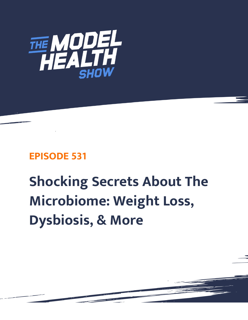

## **EPISODE 531**

# **Shocking Secrets About The Microbiome: Weight Loss, Dysbiosis, & More**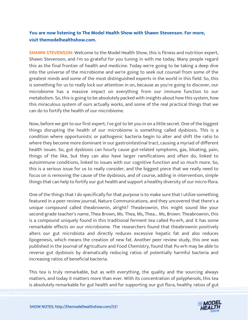### **You are now listening to The Model Health Show with Shawn Stevenson. For more, visit themodelhealthshow.com.**

**SHAWN STEVENSON:** Welcome to the Model Health Show, this is fitness and nutrition expert, Shawn Stevenson, and I'm so grateful for you tuning in with me today. Many people regard this as the final frontier of health and medicine. Today we're going to be taking a deep dive into the universe of the microbiome and we're going to seek out counsel from some of the greatest minds and some of the most distinguished experts in the world in this field. So, this is something for us to really lock our attention in on, because as you're going to discover, our microbiome has a massive impact on everything from our immune function to our metabolism. So, this is going to be absolutely packed with insights about how this system, how this miraculous system of ours actually works, and some of the real practical things that we can do to fortify the health of our microbiome.

Now, before we get to our first expert, I've got to let you in on a little secret. One of the biggest things disrupting the health of our microbiome is something called dysbiosis. This is a condition where opportunistic or pathogenic bacteria begin to alter and shift the ratio to where they become more dominant in our gastrointestinal tract, causing a myriad of different health issues. So, gut dysbiosis can hourly cause gut-related symptoms, gas, bloating, pain, things of the like, but they can also have larger ramifications and often do, linked to autoimmune conditions, linked to issues with our cognitive function and so much more. So, this is a serious issue for us to really consider, and the biggest piece that we really need to focus on is removing the cause of the dysbiosis, and of course, adding in intervention, simple things that can help to fortify our gut health and support a healthy diversity of our micro-flora.

One of the things that I do specifically for that purpose is to make sure that I utilize something featured in a peer review journal, Nature Communications, and they uncovered that there's a unique compound called theabrownin, alright? Theabrownin, this might sound like your second-grade teacher's name, Thea Brown, Ms. Thea, Ms, Thea... Ms, Brown. Theabrownin, this is a compound uniquely found in this traditional ferment tea called Pu-erh, and it has some remarkable effects on our microbiome. The researchers found that theabrownin positively alters our gut microbiota and directly reduces excessive hepatic fat and also reduces lipogenesis, which means the creation of new fat. Another peer review study, this one was published in the Journal of Agriculture and Food Chemistry, found that Pu-erh may be able to reverse gut dysbiosis by dramatically reducing ratios of potentially harmful bacteria and increasing ratios of beneficial bacteria.

This tea is truly remarkable, but as with everything, the quality and the sourcing always matters, and today it matters more than ever. With its concentration of polyphenols, this tea [is absolutely remarkable for gut health and for supporting our gut flora, healthy ratios of gut](https://themodelhealthshow.com/microbiome-weight-loss/) 

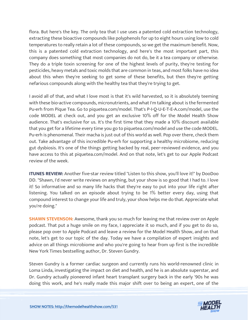flora. But here's the key. The only tea that I use uses a patented cold extraction technology, extracting these bioactive compounds like polyphenols for up to eight hours using low to cold temperatures to really retain a lot of these compounds, so we get the maximum benefit. Now, this is a patented cold extraction technology, and here's the most important part, this company does something that most companies do not do, be it a tea company or otherwise. They do a triple toxin screening for one of the highest levels of purity, they're testing for pesticides, heavy metals and toxic molds that are common in teas, and most folks have no idea about this when they're seeking to get some of these benefits, but then they're getting nefarious compounds along with the healthy tea that they're trying to get.

I avoid all of that, and what I love most is that it's wild harvested, so it is absolutely teeming with these bio-active compounds, micronutrients, and what I'm talking about is the fermented Pu-erh from Pique Tea. Go to piquetea.com/model. That's P-I-Q-U-E-T-E-A.com/model, use the code MODEL at check out, and you get an exclusive 10% off for the Model Health Show audience. That's exclusive for us. It's the first time that they made a 10% discount available that you get for a lifetime every time you go to piquetea.com/model and use the code MODEL. Pu-erh is phenomenal. Their macha is just out of this world as well. Pop over there, check them out. Take advantage of this incredible Pu-erh for supporting a healthy microbiome, reducing gut dysbiosis. It's one of the things getting backed by real, peer-reviewed evidence, and you have access to this at piquetea.com/model. And on that note, let's get to our Apple Podcast review of the week.

**ITUNES REVIEW:** Another five-star review titled "Listen to this show, you'll love it!" by DooDoo DD. "Shawn, I'd never write reviews on anything, but your show is so good that I had to. I love it! So informative and so many life hacks that they're easy to put into your life right after listening. You talked on an episode about trying to be 1% better every day, using that compound interest to change your life and truly, your show helps me do that. Appreciate what you're doing."

**SHAWN STEVENSON:** Awesome, thank you so much for leaving me that review over on Apple podcast. That put a huge smile on my face, I appreciate it so much, and if you get to do so, please pop over to Apple Podcast and leave a review for the Model Health Show, and on that note, let's get to our topic of the day. Today we have a compilation of expert insights and advice on all things microbiome and who you're going to hear from up first is the incredible New York Times bestselling author, Dr. Steven Gundry.

Steven Gundry is a former cardiac surgeon and currently runs his world-renowned clinic in Loma Linda, investigating the impact on diet and health, and he is an absolute superstar, and Dr. Gundry actually pioneered infant heart transplant surgery back in the early '90s he was doing this work, and he's really made this major shift over to being an expert, one of the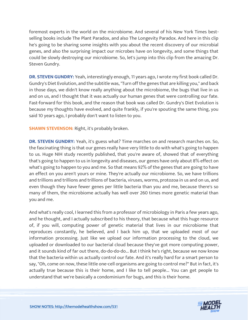foremost experts in the world on the microbiome. And several of his New York Times bestselling books include The Plant Paradox, and also The Longevity Paradox. And here in this clip he's going to be sharing some insights with you about the recent discovery of our microbial genes, and also the surprising impact our microbes have on longevity, and some things that could be slowly destroying our microbiome. So, let's jump into this clip from the amazing Dr. Steven Gundry.

**DR. STEVEN GUNDRY:** Yeah, interestingly enough, 11 years ago, I wrote my first book called Dr. Gundry's Diet Evolution, and the subtitle was, "Turn off the genes that are killing you," and back in those days, we didn't know really anything about the microbiome, the bugs that live in us and on us, and I thought that it was actually our human genes that were controlling our fate. Fast-forward for this book, and the reason that book was called Dr. Gundry's Diet Evolution is because my thoughts have evolved, and quite frankly, if you're spouting the same thing, you said 10 years ago, I probably don't want to listen to you.

**SHAWN STEVENSON: Right, it's probably broken.** 

**DR. STEVEN GUNDRY:** Yeah, it's guess what? Time marches on and research marches on. So, the fascinating thing is that our genes really have very little to do with what's going to happen to us. Huge NIH study recently published, that you're aware of, showed that of everything that's going to happen to us in longevity and diseases, our genes have only about 8% effect on what's going to happen to you and me. So that means 92% of the genes that are going to have an effect on you aren't yours or mine. They're actually our microbiome. So, we have trillions and trillions and trillions and trillions of bacteria, viruses, worms, protozoa in us and on us, and even though they have fewer genes per little bacteria than you and me, because there's so many of them, the microbiome actually has well over 260 times more genetic material than you and me.

And what's really cool, I learned this from a professor of microbiology in Paris a few years ago, and he thought, and I actually subscribed to his theory, that because what this huge resource of, if you will, computing power of genetic material that lives in our microbiome that reproduces constantly, he believed, and I back him up, that we uploaded most of our information processing. Just like we upload our information processing to the cloud, we uploaded or downloaded to our bacterial cloud because they've got more computing power, and it sounds kind of far out there, do-do-do-do... But I think he's right, because we now know that the bacteria within us actually control our fate. And it's really hard for a smart person to say, "Oh, come on now, these little one-cell organisms are going to control me?" But in fact, it's actually true because this is their home, and I like to tell people... You can get people to understand that we're basically a condominium for bugs, and this is their home.

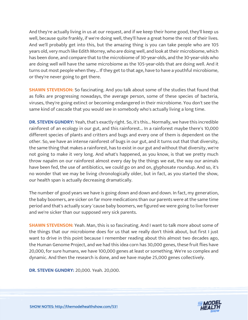And they're actually living in us at our request, and if we keep their home good, they'll keep us well, because quite frankly, if we're doing well, they'll have a great home the rest of their lives. And we'll probably get into this, but the amazing thing is you can take people who are 105 years old, very much like Edith Morrey, who are doing well, and look at their microbiome, which has been done, and compare that to the microbiome of 30-year-olds, and the 30-year-olds who are doing well will have the same microbiome as the 105-year-olds that are doing well. And it turns out most people when they... If they get to that age, have to have a youthful microbiome, or they're never going to get there.

**SHAWN STEVENSON:** So fascinating. And you talk about some of the studies that found that as folks are progressing nowadays, the average person, some of these species of bacteria, viruses, they're going extinct or becoming endangered in their microbiome. You don't see the same kind of cascade that you would see in somebody who's actually living a long time.

**DR. STEVEN GUNDRY:** Yeah, that's exactly right. So, it's this... Normally, we have this incredible rainforest of an ecology in our gut, and this rainforest... In a rainforest maybe there's 10,000 different species of plants and critters and bugs and every one of them is dependent on the other. So, we have an intense rainforest of bugs in our gut, and it turns out that that diversity, the same thing that makes a rainforest, has to exist in our gut and without that diversity, we're not going to make it very long. And what's happened, as you know, is that we pretty much throw napalm on our rainforest almost every day by the things we eat, the way our animals have been fed, the use of antibiotics, we could go on and on, glyphosate roundup. And so, it's no wonder that we may be living chronologically older, but in fact, as you started the show, our health span is actually decreasing dramatically.

The number of good years we have is going down and down and down. In fact, my generation, the baby boomers, are sicker on far more medications than our parents were at the same time period and that's actually scary 'cause baby boomers, we figured we were going to live forever and we're sicker than our supposed very sick parents.

**SHAWN STEVENSON:** Yeah. Man, this is so fascinating. And I want to talk more about some of the things that our microbiome does for us that we really don't think about, but first I just want to drive in this point because I remember reading about this almost two decades ago, the Human Genome Project, and we had this idea corn has 30,000 genes, these fruit flies have 20,000, for sure humans, we have 100,000 genes at least or something. We're so complex and dynamic. And then the research is done, and we have maybe 25,000 genes collectively.

**DR. STEVEN GUNDRY:** 20,000. Yeah. 20,000.

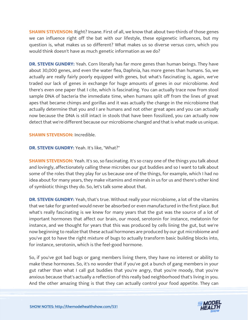**SHAWN STEVENSON:** Right? Insane. First of all, we know that about two-thirds of those genes we can influence right off the bat with our lifestyle, these epigenetic influences, but my question is, what makes us so different? What makes us so diverse versus corn, which you would think doesn't have as much genetic information as we do?

**DR. STEVEN GUNDRY:** Yeah. Corn literally has far more genes than human beings. They have about 30,000 genes, and even the water flea, Daphnia, has more genes than humans. So, we actually are really fairly poorly equipped with genes, but what's fascinating is, again, we've traded our lack of genes in exchange for huge amounts of genes in our microbiome. And there's even one paper that I cite, which is fascinating. You can actually trace now from stool sample DNA of bacteria the immediate time, when humans split off from the lines of great apes that became chimps and gorillas and it was actually the change in the microbiome that actually determine that you and I are humans and not other great apes and you can actually now because the DNA is still intact in stools that have been fossilized, you can actually now detect that we're different because our microbiome changed and that is what made us unique.

**SHAWN STEVENSON:** Incredible.

**DR. STEVEN GUNDRY:** Yeah. It's like, "What?"

**SHAWN STEVENSON:** Yeah. It's so, so fascinating. It's so crazy one of the things you talk about and lovingly, affectionately calling these microbes our gut buddies and so I want to talk about some of the roles that they play for us because one of the things, for example, which I had no idea about for many years, they make vitamins and minerals in us for us and there's other kind of symbiotic things they do. So, let's talk some about that.

**DR. STEVEN GUNDRY:** Yeah, that's true. Without really your microbiome, a lot of the vitamins that we take for granted would never be absorbed or even manufactured in the first place. But what's really fascinating is we knew for many years that the gut was the source of a lot of important hormones that affect our brain, our mood, serotonin for instance, melatonin for instance, and we thought for years that this was produced by cells lining the gut, but we're now beginning to realize that these actual hormones are produced by our gut microbiome and you've got to have the right mixture of bugs to actually transform basic building blocks into, for instance, serotonin, which is the feel-good hormone.

So, if you've got bad bugs or gang members living there, they have no interest or ability to make these hormones. So, it's no wonder that if you've got a bunch of gang members in your gut rather than what I call gut buddies that you're angry, that you're moody, that you're anxious because that's actually a reflection of this really bad neighborhood that's living in you. And the other amazing thing is that they can actually control your food appetite. They can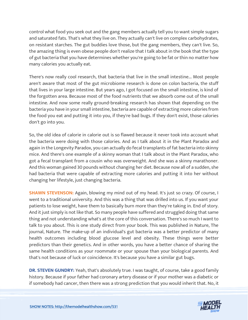control what food you seek out and the gang members actually tell you to want simple sugars and saturated fats. That's what they live on. They actually can't live on complex carbohydrates, on resistant starches. The gut buddies love those, but the gang members, they can't live. So, the amazing thing is even obese people don't realize that I talk about in the book that the type of gut bacteria that you have determines whether you're going to be fat or thin no matter how many calories you actually eat.

There's now really cool research, that bacteria that live in the small intestine... Most people aren't aware that most of the gut microbiome research is done on colon bacteria, the stuff that lives in your large intestine. But years ago, I got focused on the small intestine, is kind of the forgotten area. Because most of the food nutrients that we absorb come out of the small intestine. And now some really ground-breaking research has shown that depending on the bacteria you have in your small intestine, bacteria are capable of extracting more calories from the food you eat and putting it into you, if they're bad bugs. If they don't exist, those calories don't go into you.

So, the old idea of calorie in calorie out is so flawed because it never took into account what the bacteria were doing with those calories. And as I talk about it in the Plant Paradox and again in the Longevity Paradox, you can actually do fecal transplants of fat bacteria into skinny mice. And there's one example of a skinny woman that I talk about in the Plant Paradox, who got a fecal transplant from a cousin who was overweight. And she was a skinny marathoner. And this woman gained 30 pounds without changing her diet. Because now all of a sudden, she had bacteria that were capable of extracting more calories and putting it into her without changing her lifestyle, just changing bacteria.

**SHAWN STEVENSON:** Again, blowing my mind out of my head. It's just so crazy. Of course, I went to a traditional university. And this was a thing that was drilled into us. If you want your patients to lose weight, have them to basically burn more than they're taking in. End of story. And it just simply is not like that. So many people have suffered and struggled doing that same thing and not understanding what's at the core of this conversation. There's so much I want to talk to you about. This is one study direct from your book. This was published in Nature, The journal, Nature. The make-up of an individual's gut bacteria was a better predictor of many health outcomes including blood glucose level and obesity. These things were better predictors than their genetics. And in other words, you have a better chance of sharing the same health conditions as your roommate or your spouse than your biological parents. And that's not because of luck or coincidence. It's because you have a similar gut bugs.

**DR. STEVEN GUNDRY:** Yeah, that's absolutely true. I was taught, of course, take a good family history. Because if your father had coronary artery disease or if your mother was a diabetic or if somebody had cancer, then there was a strong prediction that you would inherit that. No, it

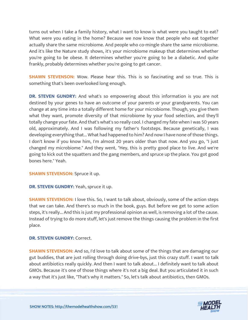turns out when I take a family history, what I want to know is what were you taught to eat? What were you eating in the home? Because we now know that people who eat together actually share the same microbiome. And people who co-mingle share the same microbiome. And it's like the Nature study shows, it's your microbiome makeup that determines whether you're going to be obese. It determines whether you're going to be a diabetic. And quite frankly, probably determines whether you're going to get cancer.

**SHAWN STEVENSON:** Wow. Please hear this. This is so fascinating and so true. This is something that's been overlooked long enough.

**DR. STEVEN GUNDRY:** And what's so empowering about this information is you are not destined by your genes to have an outcome of your parents or your grandparents. You can change at any time into a totally different home for your microbiome. Though, you give them what they want, promote diversity of that microbiome by your food selection, and they'll totally change your fate. And that's what's so really cool. I changed my fate when I was 50 years old, approximately. And I was following my father's footsteps. Because genetically, I was developing everything that... What had happened to him? And now I have none of those things. I don't know if you know him, I'm almost 20 years older than that now. And you go, "I just changed my microbiome." And they went, "Hey, this is pretty good place to live. And we're going to kick out the squatters and the gang members, and spruce up the place. You got good bones here." Yeah.

**SHAWN STEVENSON:** Spruce it up.

**DR. STEVEN GUNDRY:** Yeah, spruce it up.

**SHAWN STEVENSON:** I love this. So, I want to talk about, obviously, some of the action steps that we can take. And there's so much in the book, guys. But before we get to some action steps, it's really... And this is just my professional opinion as well, is removing a lot of the cause. Instead of trying to do more stuff, let's just remove the things causing the problem in the first place.

**DR. STEVEN GUNDRY: Correct.** 

**SHAWN STEVENSON:** And so, I'd love to talk about some of the things that are damaging our gut buddies, that are just rolling through doing drive-bys, just this crazy stuff. I want to talk about antibiotics really quickly. And then I want to talk about... I definitely want to talk about GMOs. Because it's one of those things where it's not a big deal. But you articulated it in such a way that it's just like, "That's why it matters." So, let's talk about antibiotics, then GMOs.

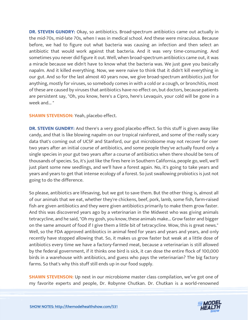**DR. STEVEN GUNDRY:** Okay, so antibiotics. Broad-spectrum antibiotics came out actually in the mid-70s, mid-late 70s, when I was in medical school. And these were miraculous. Because before, we had to figure out what bacteria was causing an infection and then select an antibiotic that would work against that bacteria. And it was very time-consuming. And sometimes you never did figure it out. Well, when broad-spectrum antibiotics came out, it was a miracle because we didn't have to know what the bacteria was. We just gave you basically napalm. And it killed everything. Now, we were naive to think that it didn't kill everything in our gut. And so for the last almost 40 years now, we give broad-spectrum antibiotics just for anything, mostly for viruses, so somebody comes in with a cold or a cough, or bronchitis, most of these are caused by viruses that antibiotics have no effect on, but doctors, because patients are persistent say, "Oh, you know, here's a Cipro, here's Levaquin, your cold will be gone in a week and... "

#### **SHAWN STEVENSON: Yeah, placebo effect.**

**DR. STEVEN GUNDRY:** And there's a very good placebo effect. So this stuff is given away like candy, and that is like blowing napalm on our tropical rainforest, and some of the really scary data that's coming out of UCSF and Stanford, our gut microbiome may not recover for over two years after an initial course of antibiotics, and some people they've actually found only a single species in your gut two years after a course of antibiotics when there should be tens of thousands of species. So, it's just like the fires here in Southern California, people go, well, we'll just plant some new seedlings, and we'll have a forest again. No, it's going to take years and years and years to get that intense ecology of a forest. So just swallowing probiotics is just not going to do the difference.

So please, antibiotics are lifesaving, but we got to save them. But the other thing is, almost all of our animals that we eat, whether they're chickens, beef, pork, lamb, some fish, farm-raised fish are given antibiotics and they were given antibiotics primarily to make them grow faster. And this was discovered years ago by a veterinarian in the Midwest who was giving animals tetracycline, and he said, "Oh my gosh, you know, these animals make... Grow faster and bigger on the same amount of food if I give them a little bit of tetracycline. Wow, this is great news." Well, so the FDA approved antibiotics in animal feed for years and years and years, and only recently have stopped allowing that. So, it makes us grow faster but weak at a little dose of antibiotics every time we have a factory-farmed meat, because a veterinarian is still allowed by the federal government, if it thinks one bird is sick, it can dose the entire flock of 100,000 birds in a warehouse with antibiotics, and guess who pays the veterinarian? The big factory farms. So that's why this stuff still ends up in our food supply.

**SHAWN STEVENSON:** Up next in our microbiome master class compilation, we've got one of my favorite experts and people, Dr. Robynne Chutkan. Dr. Chutkan is a world-renowned

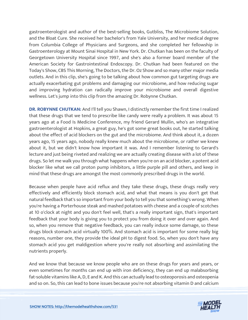gastroenterologist and author of the best-selling books, Gutbliss, The Microbiome Solution, and the Bloat Cure. She received her bachelor's from Yale University, and her medical degree from Columbia College of Physicians and Surgeons, and she completed her fellowship in Gastroenterology at Mount Sinai Hospital in New York. Dr. Chutkan has been on the faculty of Georgetown University Hospital since 1997, and she's also a former board member of the American Society for Gastrointestinal Endoscopy. Dr. Chutkan had been featured on the Today's Show, CBS This Morning, The Doctors, the Dr. Oz Show and so many other major media outlets. And in this clip, she's going to be talking about how common gut targeting drugs are actually exacerbating gut problems and damaging our microbiome, and how reducing sugar and improving hydration can radically improve your microbiome and overall digestive wellness. Let's jump into this clip from the amazing Dr. Robynne Chutkan.

**DR. ROBYNNE CHUTKAN:** And I'll tell you Shawn, I distinctly remember the first time I realized that these drugs that we tend to prescribe like candy were really a problem. It was about 15 years ago at a Food Is Medicine Conference, my friend Gerard Mullin, who's an integrative gastroenterologist at Hopkins, a great guy, he's got some great books out, he started talking about the effect of acid blockers on the gut and the microbiome. And think about it, a dozen years ago, 15 years ago, nobody really knew much about the microbiome, or rather we knew about it, but we didn't know how important it was. And I remember listening to Gerard's lecture and just being riveted and realizing we are actually creating disease with a lot of these drugs. So let me walk you through what happens when you're on an acid blocker, a potent acid blocker like what we call proton pump inhibitors, a little purple pill and others, and keep in mind that these drugs are amongst the most commonly prescribed drugs in the world.

Because when people have acid reflux and they take these drugs, these drugs really very effectively and efficiently block stomach acid, and what that means is you don't get that natural feedback that's so important from your body to tell you that something's wrong. When you're having a Porterhouse steak and mashed potatoes with cheese and a couple of scotches at 10 o'clock at night and you don't feel well, that's a really important sign, that's important feedback that your body is giving you to protect you from doing it over and over again. And so, when you remove that negative feedback, you can really induce some damage, so these drugs block stomach acid virtually 100%. And stomach acid is important for some really big reasons, number one, they provide the ideal pH to digest food. So, when you don't have any stomach acid you get maldigestion where you're really not absorbing and assimilating the nutrients properly.

And we know that because we know people who are on these drugs for years and years, or even sometimes for months can end up with iron deficiency, they can end up malabsorbing fat-soluble vitamins like A, D, E and K. And this can actually lead to osteoporosis and osteopenia and so on. So, this can lead to bone issues because you're not absorbing vitamin D and calcium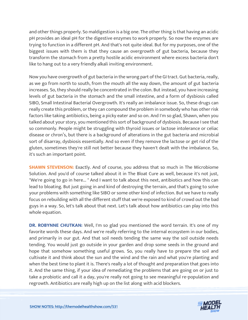and other things properly. So maldigestion is a big one. The other thing is that having an acidic pH provides an ideal pH for the digestive enzymes to work properly. So now the enzymes are trying to function in a different pH. And that's not quite ideal. But for my purposes, one of the biggest issues with them is that they cause an overgrowth of gut bacteria, because they transform the stomach from a pretty hostile acidic environment where excess bacteria don't like to hang out to a very friendly alkali inviting environment.

Now you have overgrowth of gut bacteria in the wrong part of the GI tract. Gut bacteria, really, as we go from north to south, from the mouth all the way down, the amount of gut bacteria increases. So, they should really be concentrated in the colon. But instead, you have increasing levels of gut bacteria in the stomach and the small intestine, and a form of dysbiosis called SIBO, Small Intestinal Bacterial Overgrowth. It's really an imbalance issue. So, these drugs can really create this problem, or they can compound the problem in somebody who has other risk factors like taking antibiotics, being a picky eater and so on. And I'm so glad, Shawn, when you talked about your story, you mentioned this sort of background of dysbiosis. Because I see that so commonly. People might be struggling with thyroid issues or lactose intolerance or celiac disease or chron's, but there is a background of alterations in the gut bacteria and microbial sort of disarray, dysbiosis essentially. And so even if they remove the lactose or get rid of the gluten, sometimes they're still not better because they haven't dealt with the imbalance. So, it's such an important point.

**SHAWN STEVENSON:** Exactly. And of course, you address that so much in The Microbiome Solution. And you'd of course talked about it in The Bloat Cure as well, because it's not just, "We're going to go in here... " And I want to talk about this next, antibiotics and how this can lead to bloating. But just going in and kind of destroying the terrain, and that's going to solve your problems with something like SIBO or some other kind of infection. But we have to really focus on rebuilding with all the different stuff that we're exposed to kind of crowd out the bad guys in a way. So, let's talk about that next. Let's talk about how antibiotics can play into this whole equation.

**DR. ROBYNNE CHUTKAN:** Well, I'm so glad you mentioned the word terrain. It's one of my favorite words these days. And we're really referring to the internal ecosystem in our bodies, and primarily in our gut. And that soil needs tending the same way the soil outside needs tending. You would just go outside in your garden and drop some seeds in the ground and hope that somehow something useful grows. So, you really have to prepare the soil and cultivate it and think about the sun and the wind and the rain and what you're planting and when the best time to plant it is. There's really a lot of thought and preparation that goes into it. And the same thing, if your idea of remediating the problems that are going on or just to take a probiotic and call it a day, you're really not going to see meaningful re-population and regrowth. Antibiotics are really high up on the list along with acid blockers.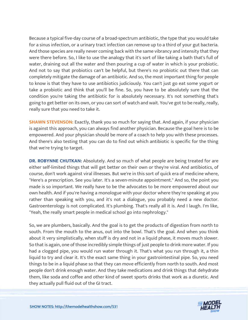Because a typical five-day course of a broad-spectrum antibiotic, the type that you would take for a sinus infection, or a urinary tract infection can remove up to a third of your gut bacteria. And those species are really never coming back with the same vibrancy and intensity that they were there before. So, I like to use the analogy that it's sort of like taking a bath that's full of water, draining out all the water and then pouring a cup of water in which is your probiotic. And not to say that probiotics can't be helpful, but there's no probiotic out there that can completely mitigate the damage of an antibiotic. And so, the most important thing for people to know is that they have to use antibiotics judiciously. You can't just go eat some yogurt or take a probiotic and think that you'll be fine. So, you have to be absolutely sure that the condition you're taking the antibiotic for is absolutely necessary. It's not something that's going to get better on its own, or you can sort of watch and wait. You've got to be really, really, really sure that you need to take it.

**SHAWN STEVENSON:** Exactly, thank you so much for saying that. And again, if your physician is against this approach, you can always find another physician. Because the goal here is to be empowered. And your physician should be more of a coach to help you with these processes. And there's also testing that you can do to find out which antibiotic is specific for the thing that we're trying to target.

**DR. ROBYNNE CHUTKAN:** Absolutely. And so much of what people are being treated for are either self-limited things that will get better on their own or they're viral. And antibiotics, of course, don't work against viral illnesses. But we're in this sort of quick era of medicine where, "Here's a prescription. See you later. It's a seven-minute appointment." And so, the point you made is so important. We really have to be the advocates to be more empowered about our own health. And if you're having a monologue with your doctor where they're speaking at you rather than speaking with you, and it's not a dialogue, you probably need a new doctor. Gastroenterology is not complicated. It's plumbing. That's really all it is. And I laugh. I'm like, "Yeah, the really smart people in medical school go into nephrology."

So, we are plumbers, basically. And the goal is to get the products of digestion from north to south. From the mouth to the anus, out into the bowl. That's the goal. And when you think about it very simplistically, when stuff is dry and not in a liquid phase, it moves much slower. So that is again, one of those incredibly simple things of just people to drink more water. If you had a clogged pipe, you would run water through it. That's what you run through it, a thin liquid to try and clear it. It's the exact same thing in your gastrointestinal pipe. So, you need things to be in a liquid phase so that they can move efficiently from north to south. And most people don't drink enough water. And they take medications and drink things that dehydrate them, like soda and coffee and other kind of sweet sports drinks that work as a diuretic. And they actually pull fluid out of the GI tract.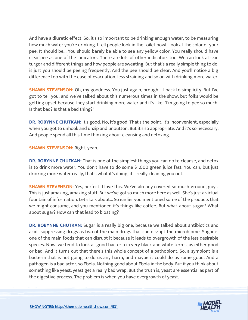And have a diuretic effect. So, it's so important to be drinking enough water, to be measuring how much water you're drinking. I tell people look in the toilet bowl. Look at the color of your pee. It should be... You should barely be able to see any yellow color. You really should have clear pee as one of the indicators. There are lots of other indicators too. We can look at skin turgor and different things and how people are sweating. But that's a really simple thing to do, is just you should be peeing frequently. And the pee should be clear. And you'll notice a big difference too with the ease of evacuation, less straining and so on with drinking more water.

**SHAWN STEVENSON:** Oh, my goodness. You just again, brought it back to simplicity. But I've got to tell you, and we've talked about this numerous times in the show, but folks would be getting upset because they start drinking more water and it's like, "I'm going to pee so much. Is that bad? Is that a bad thing?"

**DR. ROBYNNE CHUTKAN:** It's good. No, it's good. That's the point. It's inconvenient, especially when you got to unhook and unzip and unbutton. But it's so appropriate. And it's so necessary. And people spend all this time thinking about cleansing and detoxing.

**SHAWN STEVENSON: Right, yeah.** 

**DR. ROBYNNE CHUTKAN:** That is one of the simplest things you can do to cleanse, and detox is to drink more water. You don't have to do some \$1,000 green juice fast. You can, but just drinking more water really, that's what it's doing, it's really cleaning you out.

**SHAWN STEVENSON:** Yes, perfect. I love this. We've already covered so much ground, guys. This is just amazing, amazing stuff. But we've got so much more here as well. She's just a virtual fountain of information. Let's talk about... So earlier you mentioned some of the products that we might consume, and you mentioned it's things like coffee. But what about sugar? What about sugar? How can that lead to bloating?

**DR. ROBYNNE CHUTKAN:** Sugar is a really big one, because we talked about antibiotics and acids suppressing drugs as two of the main drugs that can disrupt the microbiome. Sugar is one of the main foods that can disrupt it because it leads to overgrowth of the less desirable species. Now, we tend to look at good bacteria in very black and white terms, as either good or bad. And it turns out that there's this whole concept of a pathobiont. So, a symbiont is a bacteria that is not going to do us any harm, and maybe it could do us some good. And a pathogen is a bad actor, so Ebola. Nothing good about Ebola in the body. But if you think about something like yeast, yeast get a really bad wrap. But the truth is, yeast are essential as part of the digestive process. The problem is when you have overgrowth of yeast.

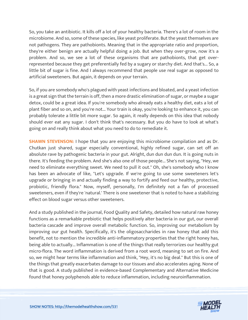So, you take an antibiotic. It kills off a lot of your healthy bacteria. There's a lot of room in the microbiome. And so, some of these species, like yeast proliferate. But the yeast themselves are not pathogens. They are pathobionts. Meaning that in the appropriate ratio and proportion, they're either benign are actually helpful doing a job. But when they over-grow, now it's a problem. And so, we see a lot of these organisms that are pathobionts, that get overrepresented because they get preferentially fed by a sugary or starchy diet. And that's... So, a little bit of sugar is fine. And I always recommend that people use real sugar as opposed to artificial sweeteners. But again, it depends on your terrain.

So, if you are somebody who's plagued with yeast infections and bloated, and a yeast infection is a great sign that the terrain is off, then a more drastic elimination of sugar, or maybe a sugar detox, could be a great idea. If you're somebody who already eats a healthy diet, eats a lot of plant fiber and so on, and you're not... Your train is okay, you're looking to enhance it, you can probably tolerate a little bit more sugar. So again, it really depends on this idea that nobody should ever eat any sugar. I don't think that's necessary. But you do have to look at what's going on and really think about what you need to do to remediate it.

**SHAWN STEVENSON:** I hope that you are enjoying this microbiome compilation and as Dr. Chutkan just shared, sugar especially conventional, highly refined sugar, can set off an absolute rave by pathogenic bacteria in your gut. Alright, dun dun dun dun. It is going nuts in there. It's feeding the problem. And she's also one of those people... She's not saying, "Hey, we need to eliminate everything sweet. We need to pull it out." Oh, she's somebody who I know has been an advocate of like, "Let's upgrade. If we're going to use some sweeteners let's upgrade or bringing in and actually finding a way to fortify and feed our healthy, protective, probiotic, friendly flora." Now, myself, personally, I'm definitely not a fan of processed sweeteners, even if they're 'natural.' There is one sweetener that is noted to have a stabilizing effect on blood sugar versus other sweeteners.

And a study published in the journal, Food Quality and Safety, detailed how natural raw honey functions as a remarkable prebiotic that helps positively alter bacteria in our gut, our overall bacteria cascade and improve overall metabolic function. So, improving our metabolism by improving our gut health. Specifically, it's the oligosaccharides in raw honey that add this benefit, not to mention the incredible anti-inflammatory properties that the right honey has, being able to actually... Inflammation is one of the things that really terrorizes our healthy gut micro-flora. The word inflammation is derived from a root word, meaning to set on fire. And so, we might hear terms like inflammation and think, "Hey, it's no big deal." But this is one of the things that greatly exacerbates damage to our tissues and also accelerates aging. None of that is good. A study published in evidence-based Complementary and Alternative Medicine found that honey polyphenols able to reduce inflammation, including neuroinflammation.

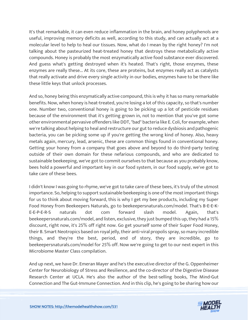It's that remarkable, it can even reduce inflammation in the brain, and honey polyphenols are useful, improving memory deficits as well, according to this study, and can actually act at a molecular level to help to heal our tissues. Now, what do I mean by the right honey? I'm not talking about the pasteurized heat-treated honey that destroys these metabolically active compounds. Honey is probably the most enzymatically active food substance ever discovered. And guess what's getting destroyed when it's heated. That's right, those enzymes, these enzymes are really these... At its core, these are proteins, but enzymes really act as catalysts that really activate and drive every single activity in our bodies, enzymes have to be there like these little keys that unlock processes.

And so, honey being this enzymatically active compound, this is why it has so many remarkable benefits. Now, when honey is heat-treated, you're losing a lot of this capacity, so that's number one. Number two, conventional honey is going to be picking up a lot of pesticide residues because of the environment that it's getting grown in, not to mention that you've got some other environmental pervasive offenders like DDT, "bad" bacteria like E. Coli, for example, when we're talking about helping to heal and restructure our gut to reduce dysbiosis and pathogenic bacteria, you can be picking some up if you're getting the wrong kind of honey. Also, heavy metals again, mercury, lead, arsenic, these are common things found in conventional honey. Getting your honey from a company that goes above and beyond to do third-party testing outside of their own domain for these nefarious compounds, and who are dedicated to sustainable beekeeping, we've got to commit ourselves to that because as you probably know, bees hold a powerful and important key in our food system, in our food supply, we've got to take care of these bees.

I didn't know I was going to rhyme, we've got to take care of these bees, it's truly of the utmost importance. So, helping to support sustainable beekeeping is one of the most important things for us to think about moving forward, this is why I get my bee products, including my Super Food Honey from Beekeepers Naturals, go to beekeepersnaturals.com/model. That's B-E-E-K-E-E-P-E-R-S naturals dot com forward slash model. Again, that's beekeepersnaturals.com/model, and listen, exclusive, they just bumped this up, they had a 15% discount, right now, it's 25% off right now. Go get yourself some of their Super Food Honey, their B. Smart Neotropics based on royal jelly, their anti-viral propolis spray, so many incredible things, and they're the best, period, end of story, they are incredible, go to beekeepersnaturals.com/model for 25% off. Now we're going to get to our next expert in this Microbiome Master Class compilation.

And up next, we have Dr. Emeran Mayer and he's the executive director of the G. Oppenheimer Center for Neurobiology of Stress and Resilience, and the co-director of the Digestive Disease Research Center at UCLA. He's also the author of the best-selling books, The Mind-Gut Connection and The Gut-Immune Connection. And in this clip, he's going to be sharing how our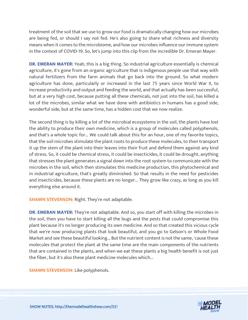treatment of the soil that we use to grow our food is dramatically changing how our microbes are being fed, or should I say not fed. He's also going to share what richness and diversity means when it comes to the microbiome, and how our microbes influence our immune system in the context of COVID-19. So, let's jump into this clip from the incredible Dr. Emeran Mayer.

**DR. EMERAN MAYER:** Yeah, this is a big thing. So industrial agriculture essentially is chemical agriculture, it's gone from an organic agriculture that is indigenous people use that way with natural fertilizers from the farm animals that go back into the ground. So what modern agriculture has done, particularly or increased in the last 75 years since World War II, to increase productivity and output and feeding the world, and that actually has been successful, but at a very high cost, because putting all these chemicals, not just into the soil, has killed a lot of the microbes, similar what we have done with antibiotics in humans has a good side, wonderful side, but at the same time, has a hidden cost that we now realize.

The second thing is by killing a lot of the microbial ecosystems in the soil, the plants have lost the ability to produce their own medicine, which is a group of molecules called polyphenols, and that's a whole topic for... We could talk about this for an hour, one of my favorite topics, that the soil microbes stimulate the plant roots to produce these molecules, to then transport it up the stem of the plant into their leaves into their fruit and defend them against any kind of stress. So, it could be chemical stress, it could be insecticides, it could be drought, anything that stresses the plant generates a signal down into the root system to communicate with the microbes in the soil, which then stimulates this medicine production, this phytochemical and in industrial agriculture, that's greatly diminished. So that results in the need for pesticides and insecticides, because these plants are no longer... They grow like crazy, as long as you kill everything else around it.

**SHAWN STEVENSON: Right. They're not adaptable.** 

**DR. EMERAN MAYER:** They're not adaptable. And so, you start off with killing the microbes in the soil, then you have to start killing all the bugs and the pests that could compromise this plant because it's no longer producing its own medicine. And so that created this vicious cycle that we're now producing plants that look beautiful, and you go to Gelson's or Whole Food Market and see these beautiful looking... But the nutrient content is not the same, 'cause these molecules that protect the plant at the same time are the main components of the nutrients that are contained in the plants, and when we eat these plants a big health benefit is not just the fiber, but it's also these plant medicine molecules which...

**SHAWN STEVENSON: Like polyphenols.** 

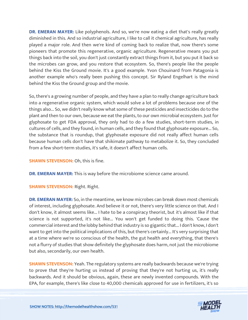**DR. EMERAN MAYER:** Like polyphenols. And so, we're now eating a diet that's really greatly diminished in this. And so industrial agriculture, I like to call it chemical agriculture, has really played a major role. And then we're kind of coming back to realize that, now there's some pioneers that promote this regenerative, organic agriculture. Regenerative means you put things back into the soil, you don't just constantly extract things from it, but you put it back so the microbes can grow, and you restore that ecosystem. So, there's people like the people behind the Kiss the Ground movie. It's a good example. Yvon Chouinard from Patagonia is another example who's really been pushing this concept. Sir Ryland Engelhart is the mind behind the Kiss the Ground group and the movie.

So, there's a growing number of people, and they have a plan to really change agriculture back into a regenerative organic system, which would solve a lot of problems because one of the things also... So, we didn't really know what some of these pesticides and insecticides do to the plant and then to our own, because we eat the plants, to our own microbial ecosystem. Just for glyphosate to get FDA approval, they only had to do a few studies, short-term studies, in cultures of cells, and they found, in human cells, and they found that glyphosate exposure... So, the substance that is roundup, that glyphosate exposure did not really affect human cells because human cells don't have that shikimate pathway to metabolize it. So, they concluded from a few short-term studies, it's safe, it doesn't affect human cells.

**SHAWN STEVENSON:** Oh, this is fine.

**DR. EMERAN MAYER:** This is way before the microbiome science came around.

**SHAWN STEVENSON:** Right. Right.

**DR. EMERAN MAYER:** So, in the meantime, we know microbes can break down most chemicals of interest, including glyphosate. And believe it or not, there's very little science on that. And I don't know, it almost seems like... I hate to be a conspiracy theorist, but it's almost like if that science is not supported, it's not like... You won't get funded to doing this. 'Cause the commercial interest and the lobby behind that industry is so gigantic that... I don't know, I don't want to get into the political implications of this, but there's certainly... It's very surprising that at a time where we're so conscious of the health, the gut health and everything, that there's not a flurry of studies that show definitely the glyphosate does harm, not just the microbiome but also, secondarily, our own health.

**SHAWN STEVENSON:** Yeah. The regulatory systems are really backwards because we're trying to prove that they're hurting us instead of proving that they're not hurting us, it's really backwards. And it should be obvious, again, these are newly invented compounds. With the EPA, for example, there's like close to 40,000 chemicals approved for use in fertilizers, it's so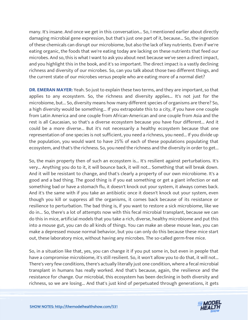many. It's insane. And once we get in this conversation... So, I mentioned earlier about directly damaging microbial gene expression, but that's just one part of it, because... So, the ingestion of these chemicals can disrupt our microbiome, but also the lack of key nutrients. Even if we're eating organic, the foods that we're eating today are lacking on these nutrients that feed our microbes. And so, this is what I want to ask you about next because we've seen a direct impact, and you highlight this in the book, and it's so important. The direct impact is a vastly declining richness and diversity of our microbes. So, can you talk about those two different things, and the current state of our microbes versus people who are eating more of a normal diet?

**DR. EMERAN MAYER:** Yeah. So just to explain these two terms, and they are important, so that applies to any ecosystem. So, the richness and diversity applies... It's not just for the microbiome, but... So, diversity means how many different species of organisms are there? So, a high diversity would be something... If you extrapolate this to a city, if you have one couple from Latin America and one couple from African-American and one couple from Asia and the rest is all Caucasian, so that's a diverse ecosystem because you have four different... And it could be a more diverse... But it's not necessarily a healthy ecosystem because that one representation of one species is not sufficient, you need a richness, you need... If you divide up the population, you would want to have 25% of each of these populations populating that ecosystem, and that's the richness. So, you need the richness and the diversity in order to get...

So, the main property then of such an ecosystem is... It's resilient against perturbations. It's very... Anything you do to it, it will bounce back, it will not... Something that will break down. And it will be resistant to change, and that's clearly a property of our own microbiome. It's a good and a bad thing. The good thing is if you eat something or get a giant infection or eat something bad or have a stomach flu, it doesn't knock out your system, it always comes back. And it's the same with if you take an antibiotic once it doesn't knock out your system, even though you kill or suppress all the organisms, it comes back because of its resistance or resilience to perturbation. The bad thing is, if you want to restore a sick microbiome, like we do in... So, there's a lot of attempts now with this fecal microbial transplant, because we can do this in mice, artificial models that you take a rich, diverse, healthy microbiome and put this into a mouse gut, you can do all kinds of things. You can make an obese mouse lean, you can make a depressed mouse normal behavior, but you can only do this because these mice start out, these laboratory mice, without having any microbes. The so-called germ-free mice.

So, in a situation like that, yes, you can change it if you put some in, but even in people that have a compromise microbiome, it's still resilient. So, it won't allow you to do that, it will not... There's very few conditions, there's actually literally just one condition, where a fecal microbial transplant in humans has really worked. And that's because, again, the resilience and the resistance for change. Our microbial, this ecosystem has been declining in both diversity and richness, so we are losing... And that's just kind of perpetuated through generations, it gets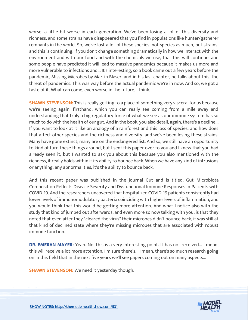worse, a little bit worse in each generation. We've been losing a lot of this diversity and richness, and some strains have disappeared that you find in populations like hunter/gatherer remnants in the world. So, we've lost a lot of these species, not species as much, but strains, and this is continuing. If you don't change something dramatically in how we interact with the environment and with our food and with the chemicals we use, that this will continue, and some people have predicted it will lead to massive pandemics because it makes us more and more vulnerable to infections and... It's interesting, so a book came out a few years before the pandemic, Missing Microbes by Martin Blaser, and in his last chapter, he talks about this, the threat of pandemics. This was way before the actual pandemic we're in now. And so, we got a taste of it. What can come, even worse in the future, I think.

**SHAWN STEVENSON:** This is really getting to a place of something very visceral for us because we're seeing again, firsthand, which you can really see coming from a mile away and understanding that truly a big regulatory force of what we see as our immune system has so much to do with the health of our gut. And in the book, you also detail, again, there's a decline... If you want to look at it like an analogy of a rainforest and this loss of species, and how does that affect other species and the richness and diversity, and we've been losing these strains. Many have gone extinct; many are on the endangered list. And so, we still have an opportunity to kind of turn these things around, but I sent this paper over to you and I knew that you had already seen it, but I wanted to ask you about this because you also mentioned with the richness, it really holds within it its ability to bounce back. When we have any kind of intrusions or anything, any abnormalities, it's the ability to bounce back.

And this recent paper was published in the journal Gut and is titled, Gut Microbiota Composition Reflects Disease Severity and Dysfunctional Immune Responses in Patients with COVID-19. And the researchers uncovered that hospitalized COVID-19 patients consistently had lower levels of immunomodulatory bacteria coinciding with higher levels of inflammation, and you would think that this would be getting more attention. And what I notice also with the study that kind of jumped out afterwards, and even more so now talking with you, is that they noted that even after they "cleared the virus" their microbes didn't bounce back, it was still at that kind of declined state where they're missing microbes that are associated with robust immune function.

**DR. EMERAN MAYER:** Yeah. No, this is a very interesting point. It has not received... I mean, this will receive a lot more attention, I'm sure there's... I mean, there's so much research going on in this field that in the next five years we'll see papers coming out on many aspects...

**SHAWN STEVENSON:** We need it yesterday though.

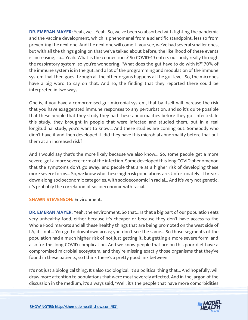**DR. EMERAN MAYER:** Yeah, we... Yeah. So, we've been so absorbed with fighting the pandemic and the vaccine development, which is phenomenal from a scientific standpoint, less so from preventing the next one. And the next one will come. If you see, we've had several smaller ones, but with all the things going on that we've talked about before, the likelihood of these events is increasing, so... Yeah. What is the connections? So COVID-19 enters our body really through the respiratory system, so you're wondering, "What does the gut have to do with it?" 70% of the immune system is in the gut, and a lot of the programming and modulation of the immune system that then goes through all the other organs happens at the gut level. So, the microbes have a big word to say on that. And so, the finding that they reported there could be interpreted in two ways.

One is, if you have a compromised gut microbial system, that by itself will increase the risk that you have exaggerated immune responses to any perturbation, and so it's quite possible that these people that they study they had these abnormalities before they got infected. In this study, they brought in people that were infected and studied them, but in a real longitudinal study, you'd want to know... And these studies are coming out. Somebody who didn't have it and then developed it, did they have this microbial abnormality before that put them at an increased risk?

And I would say that's the more likely because we also know... So, some people get a more severe, got a more severe form of the infection. Some developed this long COVID phenomenon that the symptoms don't go away, and people that are at a higher risk of developing these more severe forms... So, we know who these high-risk populations are. Unfortunately, it breaks down along socioeconomic categories, with socioeconomic in racial... And it's very not genetic, it's probably the correlation of socioeconomic with racial...

#### **SHAWN STEVENSON: Environment.**

**DR. EMERAN MAYER:** Yeah, the environment. So that... Is that a big part of our population eats very unhealthy food, either because it's cheaper or because they don't have access to the Whole Food markets and all these healthy things that are being promoted on the west side of LA, it's not... You go to downtown areas; you don't see the same... So those segments of the population had a much higher risk of not just getting it, but getting a more severe form, and also for this long COVID complication. And we know people that are on this poor diet have a compromised microbial ecosystem, and they're missing exactly those organisms that they've found in these patients, so I think there's a pretty good link between...

It's not just a biological thing. It's also sociological. It's a political thing that... And hopefully, will draw more attention to populations that were most severely affected. And in the jargon of the discussion in the medium, it's always said, "Well, it's the people that have more comorbidities

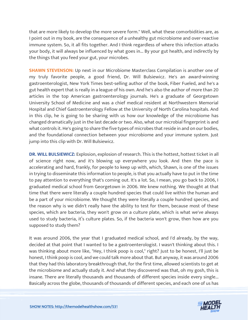that are more likely to develop the more severe form." Well, what these comorbidities are, as I point out in my book, are the consequence of a unhealthy gut microbiome and over-reactive immune system. So, it all fits together. And I think regardless of where this infection attacks your body, it will always be influenced by what goes in... By your gut health, and indirectly by the things that you feed your gut, your microbes.

**SHAWN STEVENSON:** Up next in our Microbiome Masterclass Compilation is another one of my truly favorite people, a good friend, Dr. Will Bulsiewicz. He's an award-winning gastroenterologist, New York Times best-selling author of the book, Fiber Fueled, and he's a gut health expert that is really in a league of his own. And he's also the author of more than 20 articles in the top American gastroenterology journals. He's a graduate of Georgetown University School of Medicine and was a chief medical resident at Northwestern Memorial Hospital and Chief Gastroenterology Fellow at the University of North Carolina hospitals. And in this clip, he is going to be sharing with us how our knowledge of the microbiome has changed dramatically just in the last decade or two. Also, what our microbial fingerprint is and what controls it. He's going to share the five types of microbes that reside in and on our bodies, and the foundational connection between your microbiome and your immune system. Just jump into this clip with Dr. Will Bulsiewicz.

**DR. WILL BULSIEWICZ:** Explosion, explosion of research. This is the hottest, hottest ticket in all of science right now, and it's blowing up everywhere you look. And then the pace is accelerating and hard, frankly, for people to keep up with, which, Shawn, is one of the issues in trying to disseminate this information to people, is that you actually have to put in the time to pay attention to everything that's coming out. It's a lot. So, I mean, you go back to 2006, I graduated medical school from Georgetown in 2006. We knew nothing. We thought at that time that there were literally a couple hundred species that could live within the human and be a part of your microbiome. We thought they were literally a couple hundred species, and the reason why is we didn't really have the ability to test for them, because most of these species, which are bacteria, they won't grow on a culture plate, which is what we've always used to study bacteria, it's culture plates. So, if the bacteria won't grow, then how are you supposed to study them?

It was around 2006, the year that I graduated medical school, and I'd already, by the way, decided at that point that I wanted to be a gastroenterologist. I wasn't thinking about this. I was thinking about more like, "Hey, I think poop is cool," right? Just to be honest, I'll just be honest, I think poop is cool, and we could talk more about that. But anyway, it was around 2006 that they had this laboratory breakthrough that, for the first time, allowed scientists to get at the microbiome and actually study it. And what they discovered was that, oh my gosh, this is insane. There are literally thousands and thousands of different species inside every single... Basically across the globe, thousands of thousands of different species, and each one of us has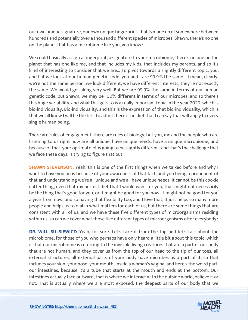our own unique signature, our own unique fingerprint, that is made up of somewhere between hundreds and potentially over a thousand different species of microbes. Shawn, there's no one on the planet that has a microbiome like you, you know?

We could basically assign a fingerprint, a signature to your microbiome, there's no one on the planet that has one like me, and that includes my kids, that includes my parents, and so it's kind of interesting to consider that we are... To pivot towards a slightly different topic, you, and I, if we look at our human genetic code, you and I are 99.9% the same... I mean, clearly, we're not the same person, we look different, we have different interests, they're not exactly the same. We would get along very well. But we are 99.9% the same in terms of our human genetic code, but Shawn, we may be 100% different in terms of our microbes, and so there's this huge variability, and what this gets to is a really important topic in the year 2020, which is bio-individuality. Bio-individuality, and this is the expression of that bio-individuality, which is that we all know I will be the first to admit there is no diet that I can say that will apply to every single human being.

There are rules of engagement, there are rules of biology, but you, me and the people who are listening to us right now are all unique, have unique needs, have a unique microbiome, and because of that, your optimal diet is going to be slightly different, and that's the challenge that we face these days, is trying to figure that out.

**SHAWN STEVENSON:** Yeah, this is one of the first things when we talked before and why I want to have you on is because of your awareness of that fact, and you being a proponent of that and understanding we're all unique and we all have unique needs. It cannot be this cookie cutter thing, even that my perfect diet that I would want for you, that might not necessarily be the thing that's good for you, or it might be good for you now, it might not be good for you a year from now, and so having that flexibility too, and I love that, it just helps so many more people and helps us to dial in what matters for each of us, but there are some things that are consistent with all of us, and we have these five different types of microorganisms residing within us, so can we cover what those five different types of microorganisms offer everybody?

**DR. WILL BULSIEWICZ:** Yeah, for sure. Let's take it from the top and let's talk about the microbiome, for those of you who perhaps have only heard a little bit about this topic, which is that our microbiome is referring to the invisible living creatures that are a part of our body that are not human, and they cover us from the top of our head to the tip of our toes, all external structures, all external parts of your body have microbes as a part of it, so that includes your skin, your nose, your mouth, inside a woman's vagina, and here's the weird part, our intestines, because it's a tube that starts at the mouth and ends at the bottom. Our intestines actually face outward, that is where we interact with the outside world, believe it or not. That is actually where we are most exposed, the deepest parts of our body that we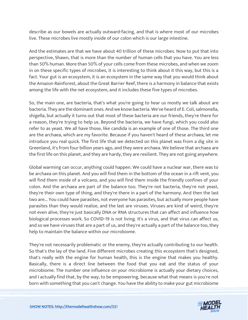describe as our bowels are actually outward-facing, and that is where most of our microbes live. These microbes live mostly inside of our colon which is our large intestine.

And the estimates are that we have about 40 trillion of these microbes. Now to put that into perspective, Shawn, that is more than the number of human cells that you have. You are less than 50% human. More than 50% of your cells come from these microbes, and when we zoom in on these specific types of microbes, it is interesting to think about it this way, but this is a fact. Your gut is an ecosystem, it is an ecosystem in the same way that you would think about the Amazon Rainforest, about the Great Barrier Reef, there is a harmony in balance that exists among the life with the net ecosystem, and it includes these five types of microbes.

So, the main one, are bacteria, that's what you're going to hear us mostly we talk about are bacteria. They are the dominant ones. And we know bacteria. We've heard of E. Coli, salmonella, shigella, but actually it turns out that most of these bacteria are our friends, they're there for a reason, they're trying to help us. Beyond the bacteria, we have fungi, which you could also refer to as yeast. We all have those, like candida is an example of one of those. The third one are the archaea, which are my favorite. Because if you haven't heard of these archaea, let me introduce you real quick. The first life that we detected on this planet was from a dig site in Greenland, it's from four billion years ago, and they were archaea. We believe that archaea are the first life on this planet, and they are hardy, they are resilient. They are not going anywhere.

Global warming can occur, anything could happen. We could have a nuclear war, there was to be archaea on this planet. And you will find them in the bottom of the ocean in a rift vent, you will find them inside of a volcano, and you will find them inside the friendly confines of your colon. And the archaea are part of the balance too. They're not bacteria, they're not yeast, they're their own type of thing, and they're there in a part of the harmony. And then the last two are... You could have parasites, not everyone has parasites, but actually more people have parasites than they would realize, and the last are viruses. Viruses are kind of weird, they're not even alive, they're just basically DNA or RNA structures that can affect and influence how biological processes work. So COVID-19 is not living. It's a virus, and that virus can affect us, and so we have viruses that are a part of us, and they're actually a part of the balance too, they help to maintain the balance within our microbiome.

They're not necessarily problematic or the enemy, they're actually contributing to our health. So that's the lay of the land. Five different microbes creating this ecosystem that's designed, that's really with the engine for human health, this is the engine that makes you healthy. Basically, there is a direct line between the food that you eat and the status of your microbiome. The number one influence on your microbiome is actually your dietary choices, and I actually find that, by the way, to be empowering, because what that means is you're not born with something that you can't change. You have the ability to make your gut microbiome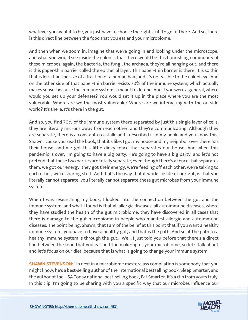whatever you want it to be, you just have to choose the right stuff to get it there. And so, there is this direct line between the food that you eat and your microbiome.

And then when we zoom in, imagine that we're going in and looking under the microscope, and what you would see inside the colon is that there would be this flourishing community of these microbes, again, the bacteria, the fungi, the archaea, they're all hanging out, and there is this paper-thin barrier called the epithelial layer. This paper-thin barrier is there, it is so thin that is less than the size of a fraction of a human hair, and it's not visible to the naked eye. And on the other side of that paper-thin barrier exists 70% of the immune system, which actually makes sense, because the immune system is meant to defend. And if you were a general, where would you set up your defenses? You would set it up in the place where you are the most vulnerable. Where are we the most vulnerable? Where are we interacting with the outside world? It's there. It's there in the gut.

And so, you find 70% of the immune system there separated by just this single layer of cells, they are literally microns away from each other, and they're communicating. Although they are separate, there is a constant crosstalk, and I described it in my book, and you know this, Shawn, 'cause you read the book, that it's like, I got my house and my neighbor over there has their house, and we got this little dinky fence that separates our house. And when this pandemic is over, I'm going to have a big party. He's going to have a big party, and let's not pretend that those two parties are totally separate, even though there's a fence that separates them, we got our energy, they got their energy, we're feeding off each other, we're talking to each other, we're sharing stuff. And that's the way that it works inside of our gut, is that you literally cannot separate, you literally cannot separate these gut microbes from your immune system.

When I was researching my book, I looked into the connection between the gut and the immune system, and what I found is that all allergic diseases, all autoimmune diseases, where they have studied the health of the gut microbiome, they have discovered in all cases that there is damage to the gut microbiome in people who manifest allergic and autoimmune diseases. The point being, Shawn, that I am of the belief at this point that if you want a healthy immune system, you have to have a healthy gut, and that is the path. And so, if the path to a healthy immune system is through the gut... Well, I just told you before that there's a direct line between the food that you eat and the make-up of your microbiome, so let's talk about and let's focus on our diet, because that is what is going to change your immune system.

**SHAWN STEVENSON:** Up next in a microbiome masterclass compilation is somebody that you might know, he's a best-selling author of the international bestselling book, Sleep Smarter, and the author of the USA Today national best-selling book, Eat Smarter. It's a clip from yours truly. In this clip, I'm going to be sharing with you a specific way that our microbes influence our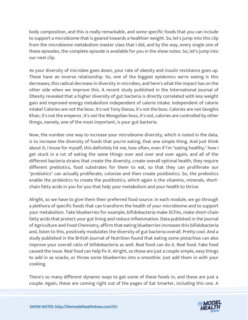body composition, and this is really remarkable, and some specific foods that you can include to support a microbiome that is geared towards a healthier weight. So, let's jump into this clip from the microbiome metabolism master class that I did, and by the way, every single one of these episodes, the complete episode is available for you in the show notes. So, let's jump into our next clip.

As your diversity of microbes goes down, your rate of obesity and insulin resistance goes up. These have an inverse relationship. So, one of the biggest epidemics we're seeing is this decreases, this radical decrease in diversity in microbes, and here's what the impact has on the other side when we improve this. A recent study published in the International Journal of Obesity revealed that a higher diversity of gut bacteria is directly correlated with less weight gain and improved energy metabolism independent of calorie intake. Independent of calorie intake! Calories are not the boss. It's not Tony Danza, it's not the boss. Calories are not Genghis Khan, it's not the emperor, it's not the Mongolian boss, it's not, calories are controlled by other things, namely, one of the most important, is your gut bacteria.

Now, the number one way to increase your microbiome diversity, which is noted in the data, is to increase the diversity of foods that you're eating, that one simple thing. And just think about it, I know for myself, this definitely hit me, how often, even if I'm "eating healthy," how I get stuck in a rut of eating the same things over and over and over again, and all of the different bacteria strains that create the diversity, create overall optimal health, they require different prebiotics, food substrates for them to eat, so that they can proliferate our "probiotics" can actually proliferate, colonize and then create postbiotics. So, the prebiotics enable the probiotics to create the postbiotics, which again is the vitamins, minerals, shortchain fatty acids in you for you that help your metabolism and your health to thrive.

Alright, so we have to give them their preferred food source. In each module, we go through a plethora of specific foods that can transform the health of your microbiome and to support your metabolism. Take blueberries for example, bifidobacteria make SCFAs, make short-chain fatty acids that protect your gut lining and reduce inflammation. Data published in the Journal of Agriculture and Food Chemistry, affirm that eating blueberries increases this bifidobacteria and, listen to this, positively modulates the diversity of gut bacteria overall. Pretty cool. And a study published in the British Journal of Nutrition found that eating some pistachios can also improve your overall ratio of bifidobacteria as well. Real food can do it. Real food. Fake food caused the issue. Real food can help fix it. Alright, so those are just a couple simple, easy things to add in as snacks, or throw some blueberries into a smoothie. Just add them in with your cooking.

There's so many different dynamic ways to get some of these foods in, and these are just a couple. Again, these are coming right out of the pages of Eat Smarter, including this one. A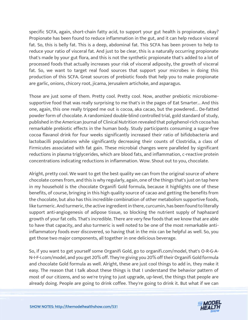specific SCFA, again, short-chain fatty acid, to support your gut health is propionate, okay? Propionate has been found to reduce inflammation in the gut, and it can help reduce visceral fat. So, this is belly fat. This is a deep, abdominal fat. This SCFA has been proven to help to reduce your ratio of visceral fat. And just to be clear, this is a naturally occurring propionate that's made by your gut flora, and this is not the synthetic propionate that's added to a lot of processed foods that actually increases your risk of visceral adiposity, the growth of visceral fat. So, we want to target real food sources that support your microbes in doing this production of this SCFA. Great sources of prebiotic foods that help you to make propionate are garlic, onions, chicory root, jícama, Jerusalem artichoke, and asparagus.

Those are just some of them. Pretty cool. Pretty cool. Now, another prebiotic microbiomesupportive food that was really surprising to me that's in the pages of Eat Smarter... And this one, again, this one really tripped me out is cocoa, aka cacao, but the powdered... De-fatted powder form of chocolate. A randomized double-blind controlled trial, gold standard of study, published in the American Journal of Clinical Nutrition revealed that polyphenol-rich cocoa has remarkable prebiotic effects in the human body. Study participants consuming a sugar-free cocoa flavanol drink for four weeks significantly increased their ratio of bifidobacteria and lactobacilli populations while significantly decreasing their counts of Clostridia, a class of Firmicutes associated with fat gain. These microbial changes were paralleled by significant reductions in plasma triglycerides, which are blood fats, and inflammation, c-reactive protein concentrations indicating reductions in inflammation. Wow. Shout out to you, chocolate.

Alright, pretty cool. We want to get the best quality we can from the original source of where chocolate comes from, and this is why regularly, again, one of the things that's just on tap here in my household is the chocolate Organifi Gold formula, because it highlights one of these benefits, of course, bringing in this high quality source of cacao and getting the benefits from the chocolate, but also has this incredible combination of other metabolism supportive foods, like turmeric. And turmeric, the active ingredient in there, curcumin, has been found to literally support anti-angiogenesis of adipose tissue, so blocking the nutrient supply of haphazard growth of your fat cells. That's incredible. There are very few foods that we know that are able to have that capacity, and also turmeric is well noted to be one of the most remarkable antiinflammatory foods ever discovered, so having that in the mix can be helpful as well. So, you get those two major components, all together in one delicious beverage.

So, if you want to get yourself some Organifi Gold, go to organifi.com/model, that's O-R-G-A-N-I-F-I.com/model, and you get 20% off. They're giving you 20% off their Organifi Gold formula and chocolate Gold formula as well. Alright, these are just cool things to add in, they make it easy. The reason that I talk about these things is that I understand the behavior pattern of most of our citizens, and so we're trying to just upgrade, up-level, the things that people are already doing. People are going to drink coffee. They're going to drink it. But what if we can

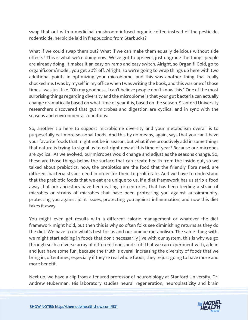swap that out with a medicinal mushroom-infused organic coffee instead of the pesticide, rodenticide, herbicide laid in frappuccino from Starbucks?

What if we could swap them out? What if we can make them equally delicious without side effects? This is what we're doing now. We've got to up-level, just upgrade the things people are already doing. It makes it an easy on-ramp and easy switch. Alright, so Organifi Gold, go to organifi.com/model, you get 20% off. Alright, so we're going to wrap things up here with two additional points in optimizing your microbiome, and this was another thing that really shocked me. I was by myself in my office when I was writing the book, and this was one of those times I was just like, "Oh my goodness, I can't believe people don't know this." One of the most surprising things regarding diversity and the microbiome is that your gut bacteria can actually change dramatically based on what time of year it is, based on the season. Stanford University researchers discovered that gut microbes and digestion are cyclical and in sync with the seasons and environmental conditions.

So, another tip here to support microbiome diversity and your metabolism overall is to purposefully eat more seasonal foods. And this by no means, again, says that you can't have your favorite foods that might not be in season, but what if we proactively add in some things that nature is trying to signal us to eat right now at this time of year? Because our microbes are cyclical. As we evolved, our microbes would change and adjust as the seasons change. So, these are those things below the surface that can create health from the inside out, so we talked about prebiotics, now, the prebiotics are the food that the friendly flora need, are different bacteria strains need in order for them to proliferate. And we have to understand that the prebiotic foods that we eat are unique to us, if a diet framework has us strip a food away that our ancestors have been eating for centuries, that has been feeding a strain of microbes or strains of microbes that have been protecting you against autoimmunity, protecting you against joint issues, protecting you against inflammation, and now this diet takes it away.

You might even get results with a different calorie management or whatever the diet framework might hold, but then this is why so often folks see diminishing returns as they do the diet. We have to do what's best for us and our unique metabolism. The same thing with, we might start adding in foods that don't necessarily jive with our system, this is why we go through such a diverse array of different foods and stuff that we can experiment with, add in and just have some fun, because the truth is overall increasing the diversity of foods that we bring in, oftentimes, especially if they're real whole foods, they're just going to have more and more benefit.

Next up, we have a clip from a tenured professor of neurobiology at Stanford University, Dr. Andrew Huberman. His laboratory studies neural regeneration, neuroplasticity and brain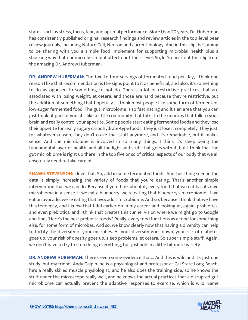states, such as stress, focus, fear, and optimal performance. More than 20 years, Dr. Huberman has consistently published original research findings and review articles in the top-level peer review journals, including Nature Cell, Neuron and current biology. And in this clip, he's going to be sharing with you a simple food implement for supporting microbial health plus a shocking way that our microbes might affect our fitness level. So, let's check out this clip from the amazing Dr. Andrew Huberman.

**DR. ANDREW HUBERMAN:** The two to four servings of fermented food per day, I think one reason I like that recommendation is the signs point to it as beneficial, and also, it's something to do as opposed to something to not do. There's a lot of restrictive practices that are associated with losing weight, et cetera, and those are hard because they're restrictive, but the addition of something that hopefully... I think most people like some form of fermented, low-sugar fermented food. The gut microbiome is so fascinating and it's an area that you can just think of part of you, it's like a little community that talks to the neurons that talk to your brain and really control your appetite. Some people start eating fermented foods and they lose their appetite for really sugary carbohydrate-type foods. They just lose it completely. They just, for whatever reason, they don't crave that stuff anymore, and it's remarkable, but it makes sense. And the microbiome is involved in so many things. I think it's sleep being the fundamental layer of health, and all the light and stuff that goes with it, but I think that the gut microbiome is right up there in the top five or so of critical aspects of our body that we all absolutely need to take care of.

**SHAWN STEVENSON:** I love that. So, add in some fermented foods. Another thing seen in the data is simply increasing the variety of foods that you're eating. That's another simple intervention that we can do. Because if you think about it, every food that we eat has its own microbiome in a sense. If we eat a blueberry, we're eating that blueberry's microbiome. If we eat an avocado, we're eating that avocado's microbiome. And so, because I think that we have this tendency, and I know that I did earlier on in my career and looking at, again, probiotics, and even prebiotics, and I think that creates this tunnel vision where we might go to Google and find, "Here's the best prebiotic foods." Really, every food functions as a food for something else, for some form of microbes. And so, we know clearly now that having a diversity can help to fortify the diversity of your microbes. As your diversity goes down, your risk of diabetes goes up, your risk of obesity goes up, sleep problems, et cetera. So super simple stuff. Again, we don't have to try to stop doing everything, but just add in a little bit more variety.

**DR. ANDREW HUBERMAN:** There's even some evidence that... And this is wild and it's just one study, but my friend, Andy Galpin, he is a physiologist and professor at Cal State Long Beach, he's a really skilled muscle physiologist, and he also does the training side, so he knows the stuff under the microscope really well, and he knows the actual practices that a disrupted gut microbiome can actually prevent the adaptive responses to exercise, which is wild. Same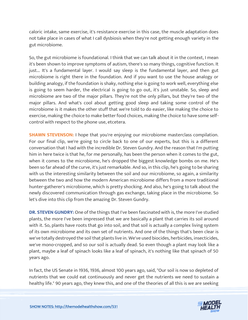caloric intake, same exercise, it's resistance exercise in this case, the muscle adaptation does not take place in cases of what I call dysbiosis when they're not getting enough variety in the gut microbiome.

So, the gut microbiome is foundational. I think that we can talk about it in the context, I mean it's been shown to improve symptoms of autism, there's so many things, cognitive function. It just... It's a fundamental layer. I would say sleep is the fundamental layer, and then gut microbiome is right there in the foundation. And if you want to use the house analogy or building analogy, if the foundation is shaky, nothing else is going to work well, everything else is going to seem harder, the electrical is going to go out, it's just unstable. So, sleep and microbiome are two of the major pillars. They're not the only pillars, but they're two of the major pillars. And what's cool about getting good sleep and taking some control of the microbiome is it makes the other stuff that we're told to do easier, like making the choice to exercise, making the choice to make better food choices, making the choice to have some selfcontrol with respect to the phone use, etcetera.

**SHAWN STEVENSON:** I hope that you're enjoying our microbiome masterclass compilation. For our final clip, we're going to circle back to one of our experts, but this is a different conversation that I had with the incredible Dr. Steven Gundry. And the reason that I'm putting him in here twice is that he, for me personally, has been the person when it comes to the gut, when it comes to the microbiome, he's dropped the biggest knowledge bombs on me. He's been so far ahead of the curve, it's just remarkable. And so, in this clip, he's going to be sharing with us the interesting similarity between the soil and our microbiome, so again, a similarity between the two and how the modern American microbiome differs from a more traditional hunter-gatherer's microbiome, which is pretty shocking. And also, he's going to talk about the newly discovered communication through gas exchange, taking place in the microbiome. So let's dive into this clip from the amazing Dr. Steven Gundry.

**DR. STEVEN GUNDRY:** One of the things that I've been fascinated with is, the more I've studied plants, the more I've been impressed that we are basically a plant that carries its soil around with it. So, plants have roots that go into soil, and that soil is actually a complex living system of its own microbiome and its own set of nutrients. And one of the things that's been clear is we've totally destroyed the soil that plants live in. We've used biocides, herbicides, insecticides, we've mono-cropped, and so our soil is actually dead. So even though a plant may look like a plant, maybe a leaf of spinach looks like a leaf of spinach, it's nothing like that spinach of 50 years ago.

In fact, the US Senate in 1936, 1936, almost 100 years ago, said, "Our soil is now so depleted of nutrients that we could eat continuously and never get the nutrients we need to sustain a healthy life." 90 years ago, they knew this, and one of the theories of all this is we are seeking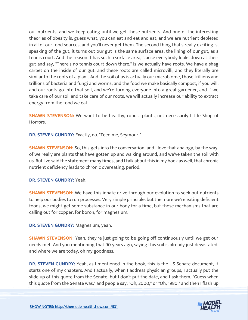out nutrients, and we keep eating until we get those nutrients. And one of the interesting theories of obesity is, guess what, you can eat and eat and eat, and we are nutrient depleted in all of our food sources, and you'll never get them. The second thing that's really exciting is, speaking of the gut, it turns out our gut is the same surface area, the lining of our gut, as a tennis court. And the reason it has such a surface area, 'cause everybody looks down at their gut and say, "There's no tennis court down there," is we actually have roots. We have a shag carpet on the inside of our gut, and these roots are called microvilli, and they literally are similar to the roots of a plant. And the soil of us is actually our microbiome, those trillions and trillions of bacteria and fungi and worms, and the food we make basically compost, if you will, and our roots go into that soil, and we're turning everyone into a great gardener, and if we take care of our soil and take care of our roots, we will actually increase our ability to extract energy from the food we eat.

**SHAWN STEVENSON:** We want to be healthy, robust plants, not necessarily Little Shop of Horrors.

**DR. STEVEN GUNDRY:** Exactly, no. "Feed me, Seymour."

**SHAWN STEVENSON:** So, this gets into the conversation, and I love that analogy, by the way, of we really are plants that have gotten up and walking around, and we've taken the soil with us. But I've said the statement many times, and I talk about this in my book as well, that chronic nutrient deficiency leads to chronic overeating, period.

#### **DR. STEVEN GUNDRY:** Yeah.

**SHAWN STEVENSON:** We have this innate drive through our evolution to seek out nutrients to help our bodies to run processes. Very simple principle, but the more we're eating deficient foods, we might get some substance in our body for a time, but those mechanisms that are calling out for copper, for boron, for magnesium.

**DR. STEVEN GUNDRY:** Magnesium, yeah.

**SHAWN STEVENSON:** Yeah, they're just going to be going off continuously until we get our needs met. And you mentioning that 90 years ago, saying this soil is already just devastated, and where we are today, oh my goodness.

**DR. STEVEN GUNDRY:** Yeah, as I mentioned in the book, this is the US Senate document, it starts one of my chapters. And I actually, when I address physician groups, I actually put the slide up of this quote from the Senate, but I don't put the date, and I ask them, "Guess when this quote from the Senate was," and people say, "Oh, 2000," or "Oh, 1980," and then I flash up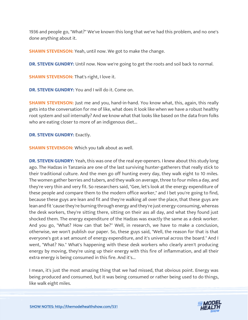1936 and people go, "What?" We've known this long that we've had this problem, and no one's done anything about it.

**SHAWN STEVENSON:** Yeah, until now. We got to make the change.

**DR. STEVEN GUNDRY:** Until now. Now we're going to get the roots and soil back to normal.

**SHAWN STEVENSON:** That's right, I love it.

**DR. STEVEN GUNDRY:** You and I will do it. Come on.

**SHAWN STEVENSON:** Just me and you, hand-in-hand. You know what, this, again, this really gets into the conversation for me of like, what does it look like when we have a robust healthy root system and soil internally? And we know what that looks like based on the data from folks who are eating closer to more of an indigenous diet...

**DR. STEVEN GUNDRY: Exactly.** 

**SHAWN STEVENSON:** Which you talk about as well.

**DR. STEVEN GUNDRY:** Yeah, this was one of the real eye-openers. I knew about this study long ago. The Hadzas in Tanzania are one of the last surviving hunter-gatherers that really stick to their traditional culture. And the men go off hunting every day, they walk eight to 10 miles. The women gather berries and tubers, and they walk on average, three to four miles a day, and they're very thin and very fit. So researchers said, "Gee, let's look at the energy expenditure of these people and compare them to the modern office worker," and I bet you're going to find, because these guys are lean and fit and they're walking all over the place, that these guys are lean and fit 'cause they're burning through energy and they're just energy-consuming, whereas the desk workers, they're sitting there, sitting on their ass all day, and what they found just shocked them. The energy expenditure of the Hadzas was exactly the same as a desk worker. And you go, "What? How can that be?" Well, in research, we have to make a conclusion, otherwise, we won't publish our paper. So, these guys said, "Well, the reason for that is that everyone's got a set amount of energy expenditure, and it's universal across the board." And I went, "What? No." What's happening with these desk workers who clearly aren't producing energy by moving, they're using up their energy with this fire of inflammation, and all their extra energy is being consumed in this fire. And it's...

I mean, it's just the most amazing thing that we had missed, that obvious point. Energy was being produced and consumed, but it was being consumed or rather being used to do things, like walk eight miles.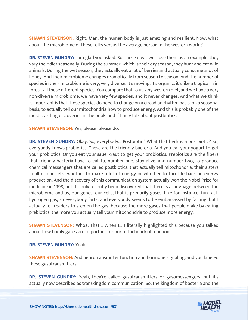**SHAWN STEVENSON:** Right. Man, the human body is just amazing and resilient. Now, what about the microbiome of these folks versus the average person in the western world?

**DR. STEVEN GUNDRY:** I am glad you asked. So, these guys, we'll use them as an example, they vary their diet seasonally. During the summer, which is their dry season, they hunt and eat wild animals. During the wet season, they actually eat a lot of berries and actually consume a lot of honey. And their microbiome changes dramatically from season to season. And the number of species in their microbiome is very, very diverse. It's moving, it's organic, it's like a tropical rain forest, all these different species. You compare that to us, any western diet, and we have a very non-diverse microbiome, we have very few species, and it never changes. And what we think is important is that those species do need to change on a circadian rhythm basis, on a seasonal basis, to actually tell our mitochondria how to produce energy. And this is probably one of the most startling discoveries in the book, and if I may talk about postbiotics.

**SHAWN STEVENSON:** Yes, please, please do.

**DR. STEVEN GUNDRY:** Okay. So, everybody... Postbiotic? What that heck is a postbiotic? So, everybody knows probiotics. These are the friendly bacteria. And you eat your yogurt to get your probiotics. Or you eat your sauerkraut to get your probiotics. Prebiotics are the fibers that friendly bacteria have to eat to, number one, stay alive, and number two, to produce chemical messengers that are called postbiotics, that actually tell mitochondria, their sisters in all of our cells, whether to make a lot of energy or whether to throttle back on energy production. And the discovery of this communication system actually won the Nobel Prize for medicine in 1998, but it's only recently been discovered that there is a language between the microbiome and us, our genes, our cells, that is primarily gases. Like for instance, fun fact, hydrogen gas, so everybody farts, and everybody seems to be embarrassed by farting, but I actually tell readers to step on the gas, because the more gases that people make by eating prebiotics, the more you actually tell your mitochondria to produce more energy.

**SHAWN STEVENSON:** Whoa. That... When I... I literally highlighted this because you talked about how bodily gases are important for our mitochondrial function...

**DR. STEVEN GUNDRY:** Yeah.

**SHAWN STEVENSON:** And neurotransmitter function and hormone signaling, and you labeled these gasotransmitters.

**DR. STEVEN GUNDRY:** Yeah, they're called gasotransmitters or gasomessengers, but it's actually now described as transkingdom communication. So, the kingdom of bacteria and the

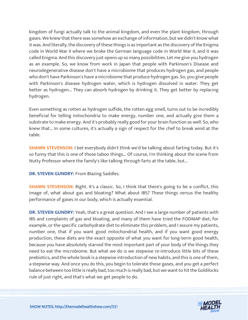kingdom of fungi actually talk to the animal kingdom, and even the plant kingdom, through gases. We knew that there was somehow an exchange of information, but we didn't know what it was. And literally, the discovery of these things is as important as the discovery of the Enigma code in World War II where we broke the German language code in World War II, and it was called Enigma. And this discovery just opens up so many possibilities. Let me give you hydrogen as an example. So, we know from work in Japan that people with Parkinson's Disease and neurodegenerative disease don't have a microbiome that produces hydrogen gas, and people who don't have Parkinson's have a microbiome that produce hydrogen gas. So, you give people with Parkinson's disease hydrogen water, which is hydrogen dissolved in water. They get better as hydrogen... They can absorb hydrogen by drinking it. They get better by replacing hydrogen.

Even something as rotten as hydrogen sulfide, the rotten egg smell, turns out to be incredibly beneficial for telling mitochondria to make energy, number one, and actually give them a substrate to make energy. And it's probably really good for your brain function as well. So, who knew that... In some cultures, it's actually a sign of respect for the chef to break wind at the table.

**SHAWN STEVENSON:** I bet everybody didn't think we'd be talking about farting today. But it's so funny that this is one of those taboo things... Of course, I'm thinking about the scene from Nutty Professor where the family's like talking through farts at the table, but...

**DR. STEVEN GUNDRY:** From Blazing Saddles.

**SHAWN STEVENSON:** Right. It's a classic. So, I think that there's going to be a conflict, this image of, what about gas and bloating? What about IBS? These things versus the healthy performance of gases in our body, which is actually essential.

**DR. STEVEN GUNDRY:** Yeah, that's a great question. And I see a large number of patients with IBS and complaints of gas and bloating, and many of them have tried the FODMAP diet, for example, or the specific carbohydrate diet to eliminate this problem, and I assure my patients, number one, that if you want good mitochondrial health, and if you want good energy production, these diets are the exact opposite of what you want for long-term good health, because you have absolutely starved the most important part of your body of the things they need to eat the microbiome. But what we do is we stepwise re-introduce little bits of these prebiotics, and the whole book is a stepwise introduction of new habits, and this is one of them, a stepwise way. And once you do this, you begin to tolerate those gases, and you get a perfect balance between too little is really bad, too much is really bad, but we want to hit the Goldilocks rule of just right, and that's what we get people to do.